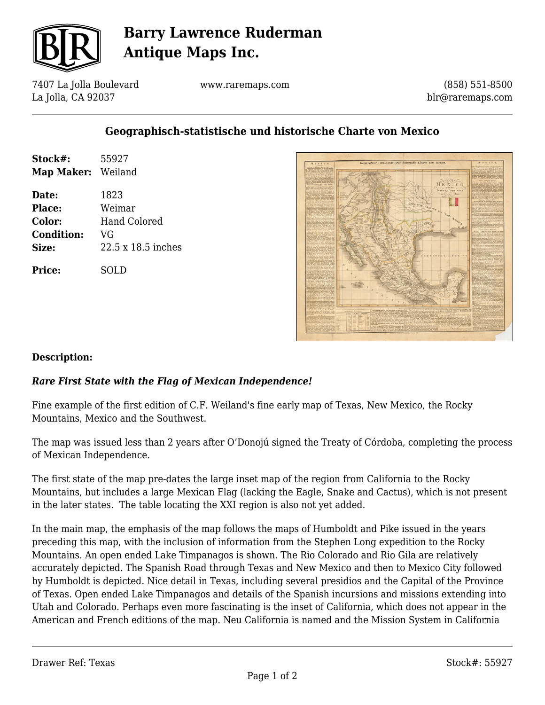

# **Barry Lawrence Ruderman Antique Maps Inc.**

7407 La Jolla Boulevard La Jolla, CA 92037

www.raremaps.com

(858) 551-8500 blr@raremaps.com

## **Geographisch-statistische und historische Charte von Mexico**

| Stock#:<br><b>Map Maker:</b> | 55927<br>Weiland   |
|------------------------------|--------------------|
| Date:                        | 1823               |
| Place:                       | Weimar             |
| Color:                       | Hand Colored       |
| <b>Condition:</b>            | VG                 |
| Size:                        | 22.5 x 18.5 inches |
| Price:                       | SOL D              |



### **Description:**

### *Rare First State with the Flag of Mexican Independence!*

Fine example of the first edition of C.F. Weiland's fine early map of Texas, New Mexico, the Rocky Mountains, Mexico and the Southwest.

The map was issued less than 2 years after O'Donojú signed the Treaty of Córdoba, completing the process of Mexican Independence.

The first state of the map pre-dates the large inset map of the region from California to the Rocky Mountains, but includes a large Mexican Flag (lacking the Eagle, Snake and Cactus), which is not present in the later states. The table locating the XXI region is also not yet added.

In the main map, the emphasis of the map follows the maps of Humboldt and Pike issued in the years preceding this map, with the inclusion of information from the Stephen Long expedition to the Rocky Mountains. An open ended Lake Timpanagos is shown. The Rio Colorado and Rio Gila are relatively accurately depicted. The Spanish Road through Texas and New Mexico and then to Mexico City followed by Humboldt is depicted. Nice detail in Texas, including several presidios and the Capital of the Province of Texas. Open ended Lake Timpanagos and details of the Spanish incursions and missions extending into Utah and Colorado. Perhaps even more fascinating is the inset of California, which does not appear in the American and French editions of the map. Neu California is named and the Mission System in California